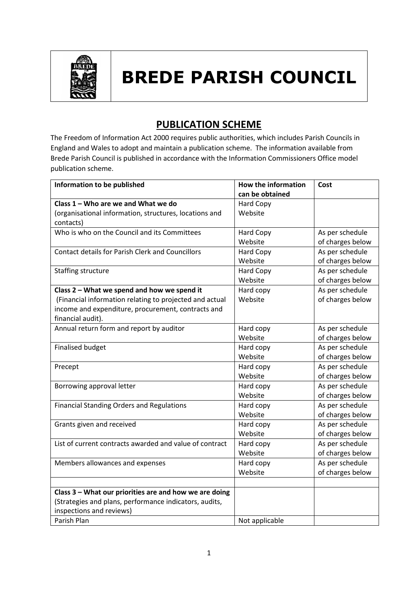

## **BREDE PARISH COUNCIL**

## **PUBLICATION SCHEME**

The Freedom of Information Act 2000 requires public authorities, which includes Parish Councils in England and Wales to adopt and maintain a publication scheme. The information available from Brede Parish Council is published in accordance with the Information Commissioners Office model publication scheme.

| Information to be published                             | How the information | Cost             |
|---------------------------------------------------------|---------------------|------------------|
|                                                         | can be obtained     |                  |
| Class 1 - Who are we and What we do                     | Hard Copy           |                  |
| (organisational information, structures, locations and  | Website             |                  |
| contacts)                                               |                     |                  |
| Who is who on the Council and its Committees            | <b>Hard Copy</b>    | As per schedule  |
|                                                         | Website             | of charges below |
| <b>Contact details for Parish Clerk and Councillors</b> | <b>Hard Copy</b>    | As per schedule  |
|                                                         | Website             | of charges below |
| Staffing structure                                      | Hard Copy           | As per schedule  |
|                                                         | Website             | of charges below |
| Class 2 - What we spend and how we spend it             | Hard copy           | As per schedule  |
| (Financial information relating to projected and actual | Website             | of charges below |
| income and expenditure, procurement, contracts and      |                     |                  |
| financial audit).                                       |                     |                  |
| Annual return form and report by auditor                | Hard copy           | As per schedule  |
|                                                         | Website             | of charges below |
| <b>Finalised budget</b>                                 | Hard copy           | As per schedule  |
|                                                         | Website             | of charges below |
| Precept                                                 | Hard copy           | As per schedule  |
|                                                         | Website             | of charges below |
| Borrowing approval letter                               | Hard copy           | As per schedule  |
|                                                         | Website             | of charges below |
| <b>Financial Standing Orders and Regulations</b>        | Hard copy           | As per schedule  |
|                                                         | Website             | of charges below |
| Grants given and received                               | Hard copy           | As per schedule  |
|                                                         | Website             | of charges below |
| List of current contracts awarded and value of contract | Hard copy           | As per schedule  |
|                                                         | Website             | of charges below |
| Members allowances and expenses                         | Hard copy           | As per schedule  |
|                                                         | Website             | of charges below |
|                                                         |                     |                  |
| Class 3 - What our priorities are and how we are doing  |                     |                  |
| (Strategies and plans, performance indicators, audits,  |                     |                  |
| inspections and reviews)                                |                     |                  |
| Parish Plan                                             | Not applicable      |                  |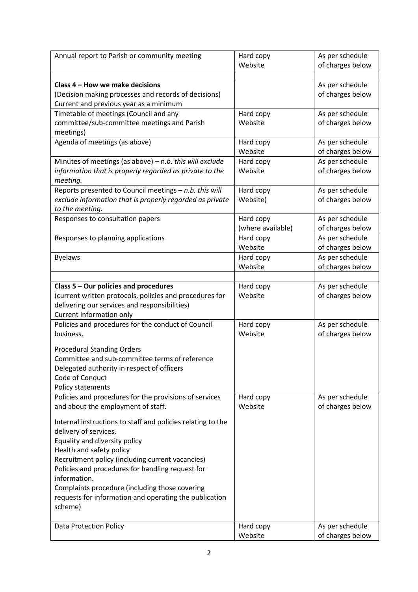| Annual report to Parish or community meeting                                                         | Hard copy             | As per schedule                     |
|------------------------------------------------------------------------------------------------------|-----------------------|-------------------------------------|
|                                                                                                      | Website               | of charges below                    |
|                                                                                                      |                       |                                     |
| Class 4 - How we make decisions                                                                      |                       | As per schedule                     |
| (Decision making processes and records of decisions)                                                 |                       | of charges below                    |
| Current and previous year as a minimum                                                               |                       |                                     |
| Timetable of meetings (Council and any                                                               | Hard copy             | As per schedule                     |
| committee/sub-committee meetings and Parish                                                          | Website               | of charges below                    |
| meetings)                                                                                            |                       |                                     |
| Agenda of meetings (as above)                                                                        | Hard copy             | As per schedule                     |
|                                                                                                      | Website               | of charges below                    |
| Minutes of meetings (as above) $-$ n.b. this will exclude                                            | Hard copy             | As per schedule                     |
| information that is properly regarded as private to the                                              | Website               | of charges below                    |
| meeting.<br>Reports presented to Council meetings - n.b. this will                                   |                       |                                     |
| exclude information that is properly regarded as private                                             | Hard copy<br>Website) | As per schedule<br>of charges below |
| to the meeting.                                                                                      |                       |                                     |
| Responses to consultation papers                                                                     | Hard copy             | As per schedule                     |
|                                                                                                      | (where available)     | of charges below                    |
| Responses to planning applications                                                                   | Hard copy             | As per schedule                     |
|                                                                                                      | Website               | of charges below                    |
| <b>Byelaws</b>                                                                                       | Hard copy             | As per schedule                     |
|                                                                                                      | Website               | of charges below                    |
|                                                                                                      |                       |                                     |
| Class 5 - Our policies and procedures                                                                | Hard copy             | As per schedule                     |
| (current written protocols, policies and procedures for                                              | Website               | of charges below                    |
| delivering our services and responsibilities)                                                        |                       |                                     |
| Current information only                                                                             |                       |                                     |
| Policies and procedures for the conduct of Council                                                   | Hard copy             | As per schedule                     |
| business.                                                                                            | Website               | of charges below                    |
| <b>Procedural Standing Orders</b>                                                                    |                       |                                     |
| Committee and sub-committee terms of reference                                                       |                       |                                     |
| Delegated authority in respect of officers                                                           |                       |                                     |
| Code of Conduct                                                                                      |                       |                                     |
| Policy statements                                                                                    |                       |                                     |
| Policies and procedures for the provisions of services                                               | Hard copy             | As per schedule                     |
| and about the employment of staff.                                                                   | Website               | of charges below                    |
|                                                                                                      |                       |                                     |
| Internal instructions to staff and policies relating to the                                          |                       |                                     |
| delivery of services.                                                                                |                       |                                     |
| Equality and diversity policy                                                                        |                       |                                     |
| Health and safety policy                                                                             |                       |                                     |
| Recruitment policy (including current vacancies)<br>Policies and procedures for handling request for |                       |                                     |
| information.                                                                                         |                       |                                     |
| Complaints procedure (including those covering                                                       |                       |                                     |
| requests for information and operating the publication                                               |                       |                                     |
| scheme)                                                                                              |                       |                                     |
|                                                                                                      |                       |                                     |
| <b>Data Protection Policy</b>                                                                        | Hard copy             | As per schedule                     |
|                                                                                                      | Website               | of charges below                    |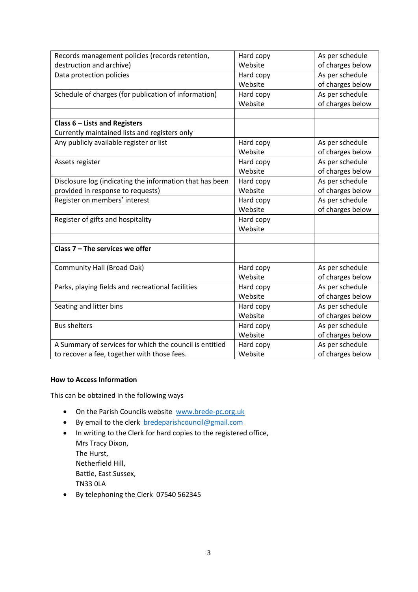| Records management policies (records retention,          | Hard copy | As per schedule  |
|----------------------------------------------------------|-----------|------------------|
| destruction and archive)                                 | Website   | of charges below |
| Data protection policies                                 | Hard copy | As per schedule  |
|                                                          | Website   | of charges below |
| Schedule of charges (for publication of information)     | Hard copy | As per schedule  |
|                                                          | Website   | of charges below |
|                                                          |           |                  |
| Class 6 - Lists and Registers                            |           |                  |
| Currently maintained lists and registers only            |           |                  |
| Any publicly available register or list                  | Hard copy | As per schedule  |
|                                                          | Website   | of charges below |
| Assets register                                          | Hard copy | As per schedule  |
|                                                          | Website   | of charges below |
| Disclosure log (indicating the information that has been | Hard copy | As per schedule  |
| provided in response to requests)                        | Website   | of charges below |
| Register on members' interest                            | Hard copy | As per schedule  |
|                                                          | Website   | of charges below |
| Register of gifts and hospitality                        | Hard copy |                  |
|                                                          | Website   |                  |
|                                                          |           |                  |
| Class $7 -$ The services we offer                        |           |                  |
|                                                          |           |                  |
| <b>Community Hall (Broad Oak)</b>                        | Hard copy | As per schedule  |
|                                                          | Website   | of charges below |
| Parks, playing fields and recreational facilities        | Hard copy | As per schedule  |
|                                                          | Website   | of charges below |
| Seating and litter bins                                  | Hard copy | As per schedule  |
|                                                          | Website   | of charges below |
| <b>Bus shelters</b>                                      | Hard copy | As per schedule  |
|                                                          | Website   | of charges below |
| A Summary of services for which the council is entitled  | Hard copy | As per schedule  |
| to recover a fee, together with those fees.              | Website   | of charges below |

## **How to Access Information**

This can be obtained in the following ways

- On the Parish Councils website [www.brede-pc.org.uk](http://www.brede-pc.org.uk/)
- By email to the clerk [bredeparishcouncil@gmail.com](mailto:bredeparishcouncil@gmail.com)
- In writing to the Clerk for hard copies to the registered office, Mrs Tracy Dixon, The Hurst, Netherfield Hill, Battle, East Sussex, TN33 0LA
- By telephoning the Clerk 07540 562345